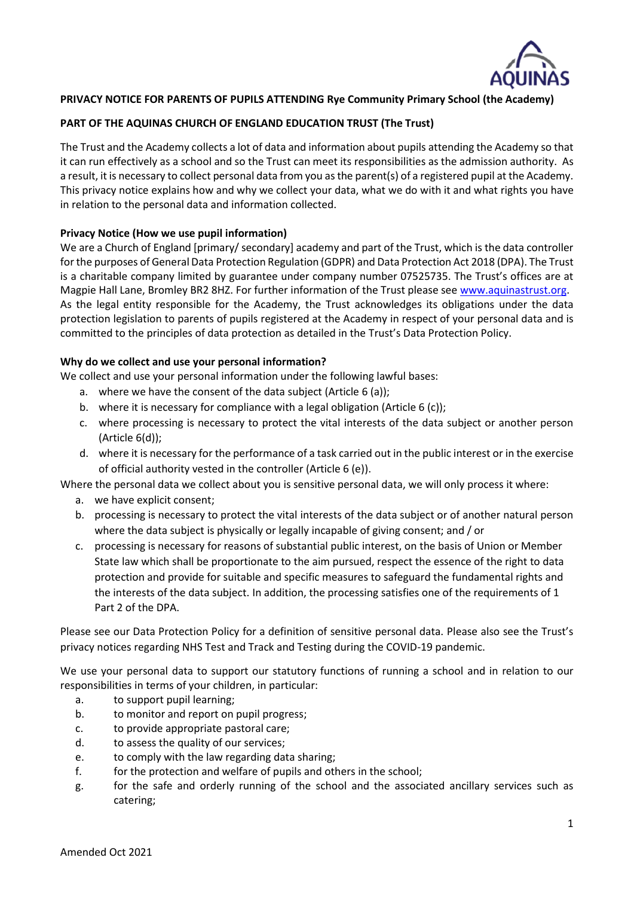

# **PRIVACY NOTICE FOR PARENTS OF PUPILS ATTENDING Rye Community Primary School (the Academy)**

# **PART OF THE AQUINAS CHURCH OF ENGLAND EDUCATION TRUST (The Trust)**

The Trust and the Academy collects a lot of data and information about pupils attending the Academy so that it can run effectively as a school and so the Trust can meet its responsibilities as the admission authority. As a result, it is necessary to collect personal data from you as the parent(s) of a registered pupil at the Academy. This privacy notice explains how and why we collect your data, what we do with it and what rights you have in relation to the personal data and information collected.

## **Privacy Notice (How we use pupil information)**

We are a Church of England [primary/ secondary] academy and part of the Trust, which is the data controller for the purposes of General Data Protection Regulation (GDPR) and Data Protection Act 2018 (DPA). The Trust is a charitable company limited by guarantee under company number 07525735. The Trust's offices are at Magpie Hall Lane, Bromley BR2 8HZ. For further information of the Trust please see [www.aquinastrust.org.](http://www.aquinastrust.org/) As the legal entity responsible for the Academy, the Trust acknowledges its obligations under the data protection legislation to parents of pupils registered at the Academy in respect of your personal data and is committed to the principles of data protection as detailed in the Trust's Data Protection Policy.

## **Why do we collect and use your personal information?**

We collect and use your personal information under the following lawful bases:

- a. where we have the consent of the data subject (Article 6 (a));
- b. where it is necessary for compliance with a legal obligation (Article 6 (c));
- c. where processing is necessary to protect the vital interests of the data subject or another person (Article 6(d));
- d. where it is necessary for the performance of a task carried out in the public interest or in the exercise of official authority vested in the controller (Article 6 (e)).

Where the personal data we collect about you is sensitive personal data, we will only process it where:

- a. we have explicit consent;
- b. processing is necessary to protect the vital interests of the data subject or of another natural person where the data subject is physically or legally incapable of giving consent; and / or
- c. processing is necessary for reasons of substantial public interest, on the basis of Union or Member State law which shall be proportionate to the aim pursued, respect the essence of the right to data protection and provide for suitable and specific measures to safeguard the fundamental rights and the interests of the data subject. In addition, the processing satisfies one of the requirements of 1 Part 2 of the DPA.

Please see our Data Protection Policy for a definition of sensitive personal data. Please also see the Trust's privacy notices regarding NHS Test and Track and Testing during the COVID-19 pandemic.

We use your personal data to support our statutory functions of running a school and in relation to our responsibilities in terms of your children, in particular:

- a. to support pupil learning;
- b. to monitor and report on pupil progress;
- c. to provide appropriate pastoral care;
- d. to assess the quality of our services;
- e. to comply with the law regarding data sharing;
- f. for the protection and welfare of pupils and others in the school;
- g. for the safe and orderly running of the school and the associated ancillary services such as catering;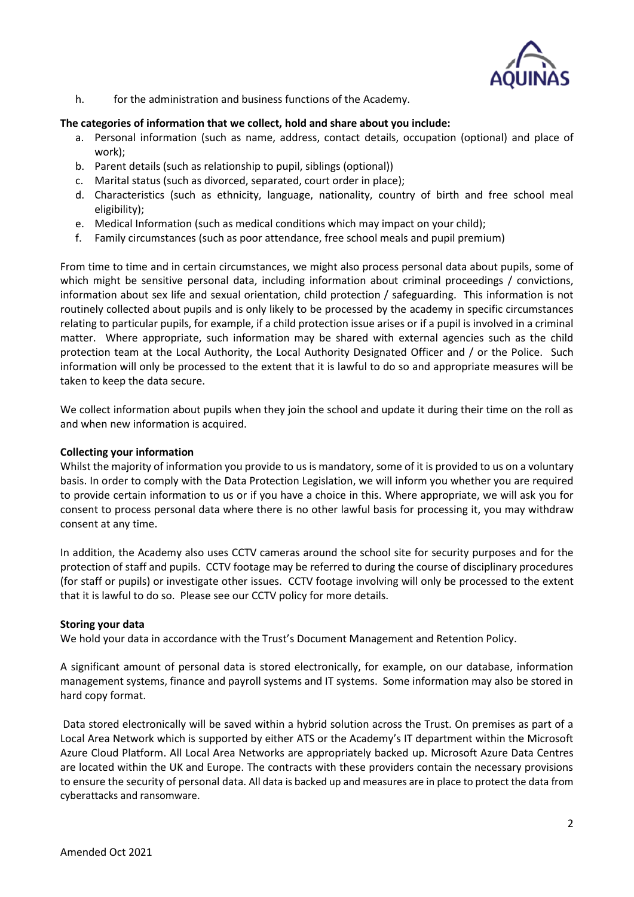

h. for the administration and business functions of the Academy.

## **The categories of information that we collect, hold and share about you include:**

- a. Personal information (such as name, address, contact details, occupation (optional) and place of work);
- b. Parent details (such as relationship to pupil, siblings (optional))
- c. Marital status (such as divorced, separated, court order in place);
- d. Characteristics (such as ethnicity, language, nationality, country of birth and free school meal eligibility);
- e. Medical Information (such as medical conditions which may impact on your child);
- f. Family circumstances (such as poor attendance, free school meals and pupil premium)

From time to time and in certain circumstances, we might also process personal data about pupils, some of which might be sensitive personal data, including information about criminal proceedings / convictions, information about sex life and sexual orientation, child protection / safeguarding. This information is not routinely collected about pupils and is only likely to be processed by the academy in specific circumstances relating to particular pupils, for example, if a child protection issue arises or if a pupil is involved in a criminal matter. Where appropriate, such information may be shared with external agencies such as the child protection team at the Local Authority, the Local Authority Designated Officer and / or the Police. Such information will only be processed to the extent that it is lawful to do so and appropriate measures will be taken to keep the data secure.

We collect information about pupils when they join the school and update it during their time on the roll as and when new information is acquired.

#### **Collecting your information**

Whilst the majority of information you provide to us is mandatory, some of it is provided to us on a voluntary basis. In order to comply with the Data Protection Legislation, we will inform you whether you are required to provide certain information to us or if you have a choice in this. Where appropriate, we will ask you for consent to process personal data where there is no other lawful basis for processing it, you may withdraw consent at any time.

In addition, the Academy also uses CCTV cameras around the school site for security purposes and for the protection of staff and pupils. CCTV footage may be referred to during the course of disciplinary procedures (for staff or pupils) or investigate other issues. CCTV footage involving will only be processed to the extent that it is lawful to do so. Please see our CCTV policy for more details.

## **Storing your data**

We hold your data in accordance with the Trust's Document Management and Retention Policy.

A significant amount of personal data is stored electronically, for example, on our database, information management systems, finance and payroll systems and IT systems. Some information may also be stored in hard copy format.

Data stored electronically will be saved within a hybrid solution across the Trust. On premises as part of a Local Area Network which is supported by either ATS or the Academy's IT department within the Microsoft Azure Cloud Platform. All Local Area Networks are appropriately backed up. Microsoft Azure Data Centres are located within the UK and Europe. The contracts with these providers contain the necessary provisions to ensure the security of personal data. All data is backed up and measures are in place to protect the data from cyberattacks and ransomware.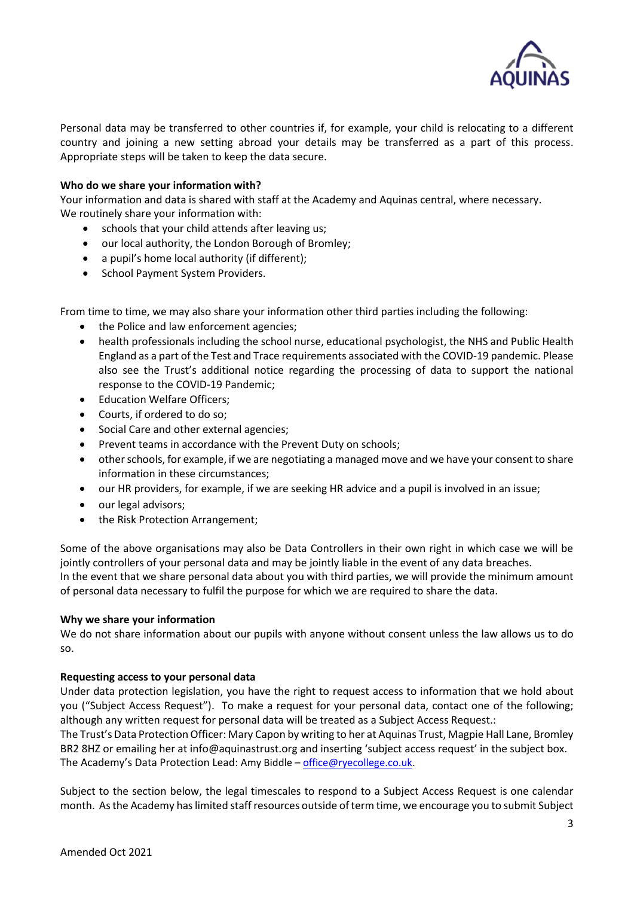

Personal data may be transferred to other countries if, for example, your child is relocating to a different country and joining a new setting abroad your details may be transferred as a part of this process. Appropriate steps will be taken to keep the data secure.

#### **Who do we share your information with?**

Your information and data is shared with staff at the Academy and Aquinas central, where necessary. We routinely share your information with:

- schools that your child attends after leaving us;
- our local authority, the London Borough of Bromley;
- a pupil's home local authority (if different);
- School Payment System Providers.

From time to time, we may also share your information other third parties including the following:

- the Police and law enforcement agencies;
- health professionals including the school nurse, educational psychologist, the NHS and Public Health England as a part of the Test and Trace requirements associated with the COVID-19 pandemic. Please also see the Trust's additional notice regarding the processing of data to support the national response to the COVID-19 Pandemic;
- Education Welfare Officers;
- Courts, if ordered to do so;
- Social Care and other external agencies;
- Prevent teams in accordance with the Prevent Duty on schools;
- other schools, for example, if we are negotiating a managed move and we have your consent to share information in these circumstances;
- our HR providers, for example, if we are seeking HR advice and a pupil is involved in an issue;
- our legal advisors;
- the Risk Protection Arrangement;

Some of the above organisations may also be Data Controllers in their own right in which case we will be jointly controllers of your personal data and may be jointly liable in the event of any data breaches. In the event that we share personal data about you with third parties, we will provide the minimum amount of personal data necessary to fulfil the purpose for which we are required to share the data.

#### **Why we share your information**

We do not share information about our pupils with anyone without consent unless the law allows us to do so.

#### **Requesting access to your personal data**

Under data protection legislation, you have the right to request access to information that we hold about you ("Subject Access Request"). To make a request for your personal data, contact one of the following; although any written request for personal data will be treated as a Subject Access Request.:

The Trust's Data Protection Officer: Mary Capon by writing to her at Aquinas Trust, Magpie Hall Lane, Bromley BR2 8HZ or emailing her at info@aquinastrust.org and inserting 'subject access request' in the subject box. The Academy's Data Protection Lead: Amy Biddle – [office@ryecollege.co.uk.](mailto:office@ryecollege.co.uk)

Subject to the section below, the legal timescales to respond to a Subject Access Request is one calendar month. As the Academy has limited staff resources outside of term time, we encourage you to submit Subject